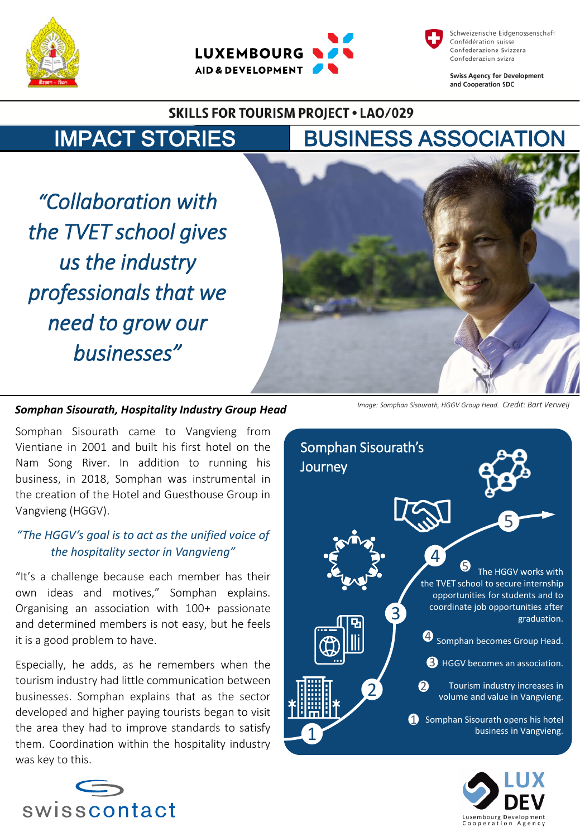





**Swiss Agency for Development** and Cooperation SDC

#### **SKILLS FOR TOURISM PROJECT . LAO/029**

# IMPACT STORIES BUSINESS ASSOCIATION

*"Collaboration with the TVET school gives us the industry professionals that we need to grow our businesses"*



#### *Somphan Sisourath, Hospitality Industry Group Head*

Somphan Sisourath came to Vangvieng from Vientiane in 2001 and built his first hotel on the Nam Song River. In addition to running his business, in 2018, Somphan was instrumental in the creation of the Hotel and Guesthouse Group in Vangvieng (HGGV).

#### *"The HGGV's goal is to act as the unified voice of the hospitality sector in Vangvieng"*

"It's a challenge because each member has their own ideas and motives," Somphan explains. Organising an association with 100+ passionate and determined members is not easy, but he feels it is a good problem to have.

Especially, he adds, as he remembers when the tourism industry had little communication between businesses. Somphan explains that as the sector developed and higher paying tourists began to visit the area they had to improve standards to satisfy them. Coordination within the hospitality industry was key to this.



*Image: Somphan Sisourath, HGGV Group Head. Credit: Bart Verweij*